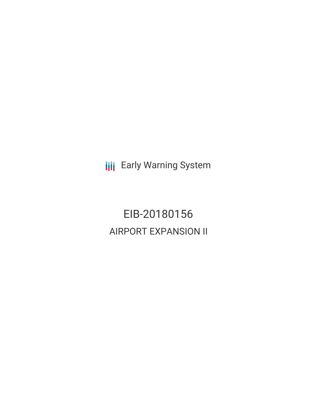**III** Early Warning System

EIB-20180156 AIRPORT EXPANSION II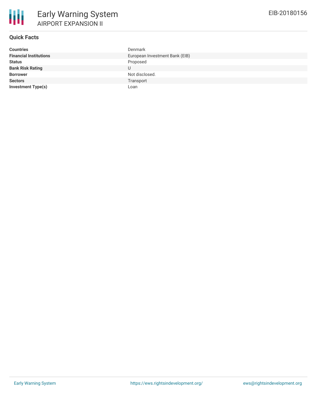

# **Quick Facts**

| <b>Countries</b>              | Denmark                        |
|-------------------------------|--------------------------------|
| <b>Financial Institutions</b> | European Investment Bank (EIB) |
| <b>Status</b>                 | Proposed                       |
| <b>Bank Risk Rating</b>       |                                |
| <b>Borrower</b>               | Not disclosed.                 |
| <b>Sectors</b>                | Transport                      |
| <b>Investment Type(s)</b>     | Loan                           |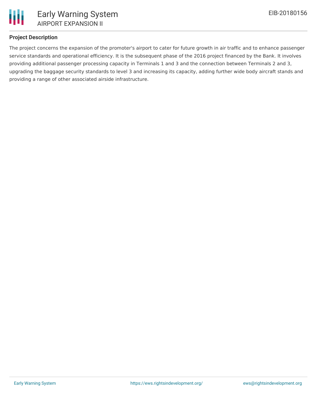

# **Project Description**

The project concerns the expansion of the promoter's airport to cater for future growth in air traffic and to enhance passenger service standards and operational efficiency. It is the subsequent phase of the 2016 project financed by the Bank. It involves providing additional passenger processing capacity in Terminals 1 and 3 and the connection between Terminals 2 and 3, upgrading the baggage security standards to level 3 and increasing its capacity, adding further wide body aircraft stands and providing a range of other associated airside infrastructure.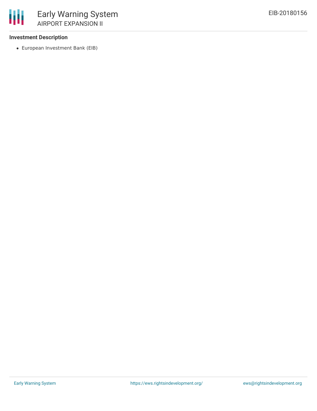### **Investment Description**

European Investment Bank (EIB)